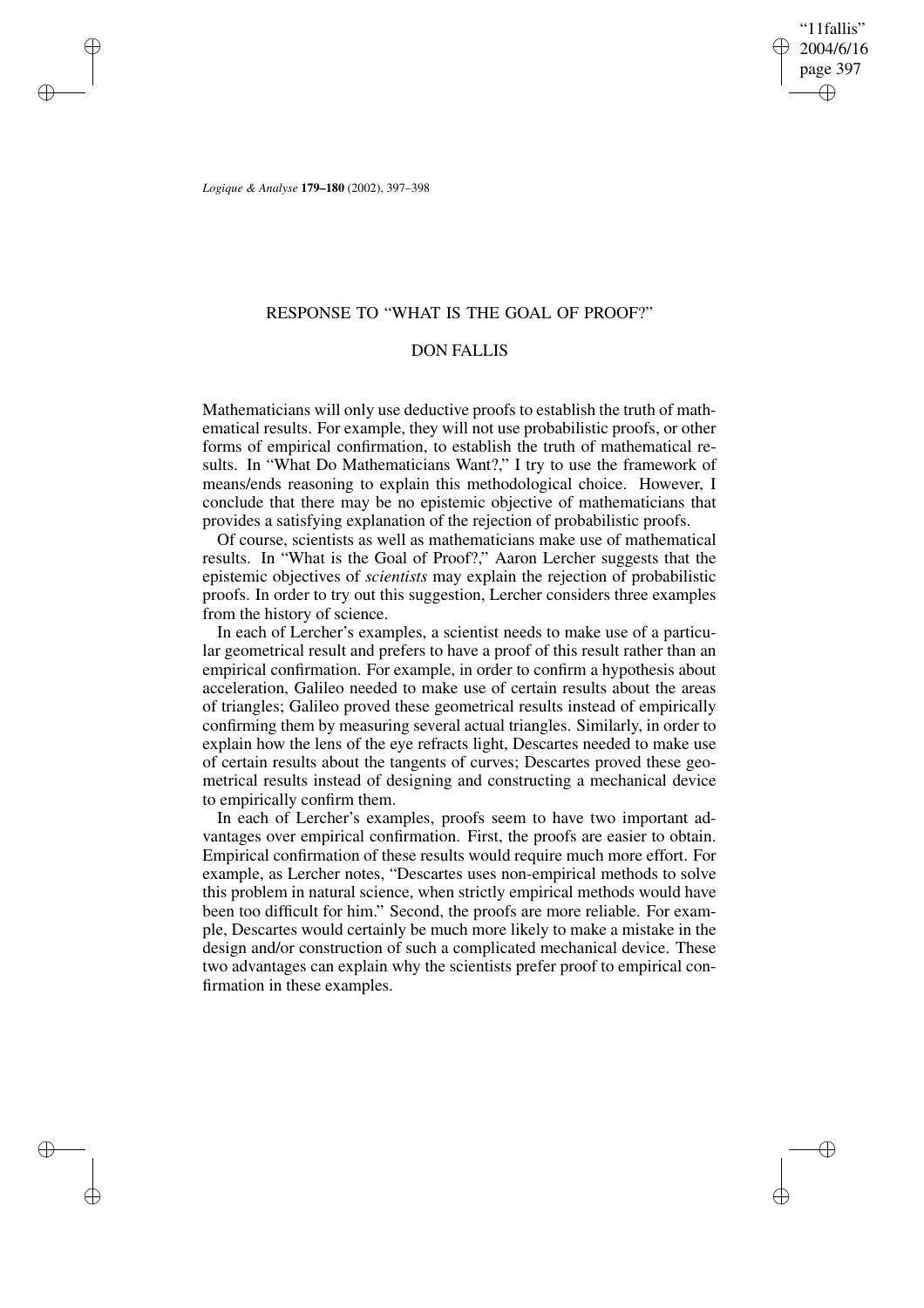"11fallis" 2004/6/16 page 397 ✐ ✐

✐

✐

*Logique & Analyse* **179–180** (2002), 397–398

✐

✐

✐

✐

## RESPONSE TO "WHAT IS THE GOAL OF PROOF?"

## DON FALLIS

Mathematicians will only use deductive proofs to establish the truth of mathematical results. For example, they will not use probabilistic proofs, or other forms of empirical confirmation, to establish the truth of mathematical results. In "What Do Mathematicians Want?," I try to use the framework of means/ends reasoning to explain this methodological choice. However, I conclude that there may be no epistemic objective of mathematicians that provides a satisfying explanation of the rejection of probabilistic proofs.

Of course, scientists as well as mathematicians make use of mathematical results. In "What is the Goal of Proof?," Aaron Lercher suggests that the epistemic objectives of *scientists* may explain the rejection of probabilistic proofs. In order to try out this suggestion, Lercher considers three examples from the history of science.

In each of Lercher's examples, a scientist needs to make use of a particular geometrical result and prefers to have a proof of this result rather than an empirical confirmation. For example, in order to confirm a hypothesis about acceleration, Galileo needed to make use of certain results about the areas of triangles; Galileo proved these geometrical results instead of empirically confirming them by measuring several actual triangles. Similarly, in order to explain how the lens of the eye refracts light, Descartes needed to make use of certain results about the tangents of curves; Descartes proved these geometrical results instead of designing and constructing a mechanical device to empirically confirm them.

In each of Lercher's examples, proofs seem to have two important advantages over empirical confirmation. First, the proofs are easier to obtain. Empirical confirmation of these results would require much more effort. For example, as Lercher notes, "Descartes uses non-empirical methods to solve this problem in natural science, when strictly empirical methods would have been too difficult for him." Second, the proofs are more reliable. For example, Descartes would certainly be much more likely to make a mistake in the design and/or construction of such a complicated mechanical device. These two advantages can explain why the scientists prefer proof to empirical confirmation in these examples.